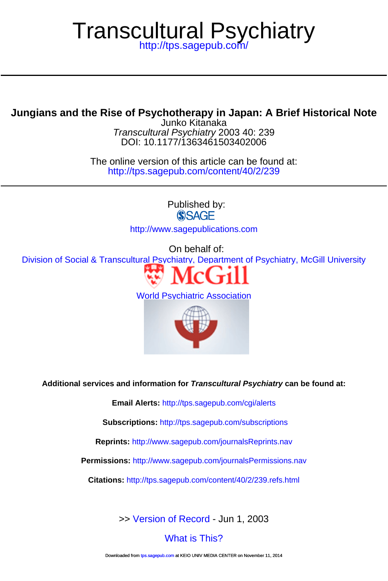# Transcultural Psychiatry

<http://tps.sagepub.com/>

# **Jungians and the Rise of Psychotherapy in Japan: A Brief Historical Note**

DOI: 10.1177/1363461503402006 Transcultural Psychiatry 2003 40: 239 Junko Kitanaka

<http://tps.sagepub.com/content/40/2/239> The online version of this article can be found at:

> Published by: **SSAGE**

<http://www.sagepublications.com>

On behalf of:

[Division of Social & Transcultural Psychiatry, Department of Psychiatry, McGill University](http://www.mcgill.ca/tcpsych/)



[World Psychiatric Association](http://www.wpanet.org/detail.php?section_id=11&content_id=574)



**Additional services and information for Transcultural Psychiatry can be found at:**

**Email Alerts:** <http://tps.sagepub.com/cgi/alerts>

**Subscriptions:** <http://tps.sagepub.com/subscriptions>

**Reprints:** <http://www.sagepub.com/journalsReprints.nav>

**Permissions:** <http://www.sagepub.com/journalsPermissions.nav>

**Citations:** <http://tps.sagepub.com/content/40/2/239.refs.html>

>> [Version of Record -](http://tps.sagepub.com/content/40/2/239.full.pdf) Jun 1, 2003

[What is This?](http://online.sagepub.com/site/sphelp/vorhelp.xhtml)

Downloaded from [tps.sagepub.com](http://tps.sagepub.com/) at KEIO UNIV MEDIA CENTER on November 11, 2014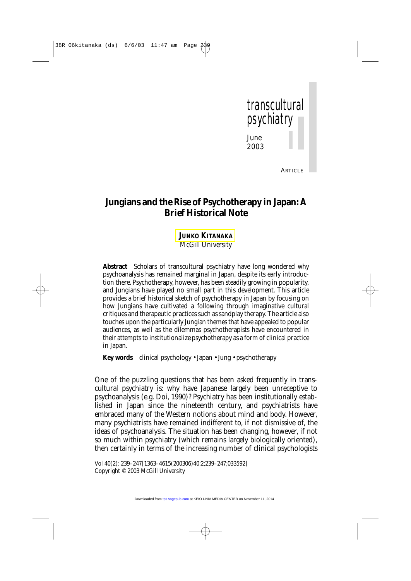

**ARTICLE** 

# **Jungians and the Rise of Psychotherapy in Japan: A Brief Historical Note**

### **JUNKO [KITANAKA](#page-9-0)** *McGill University*

**Abstract** Scholars of transcultural psychiatry have long wondered why psychoanalysis has remained marginal in Japan, despite its early introduction there. Psychotherapy, however, has been steadily growing in popularity, and Jungians have played no small part in this development. This article provides a brief historical sketch of psychotherapy in Japan by focusing on how Jungians have cultivated a following through imaginative cultural critiques and therapeutic practices such as sandplay therapy. The article also touches upon the particularly Jungian themes that have appealed to popular audiences, as well as the dilemmas psychotherapists have encountered in their attempts to institutionalize psychotherapy as a form of clinical practice in Japan.

**Key words** clinical psychology • Japan • Jung • psychotherapy

One of the puzzling questions that has been asked frequently in transcultural psychiatry is: why have Japanese largely been unreceptive to psychoanalysis (e.g. Doi, 1990)? Psychiatry has been institutionally established in Japan since the nineteenth century, and psychiatrists have embraced many of the Western notions about mind and body. However, many psychiatrists have remained indifferent to, if not dismissive of, the ideas of psychoanalysis. The situation has been changing, however, if not so much within psychiatry (which remains largely biologically oriented), then certainly in terms of the increasing number of clinical psychologists

Vol 40(2): 239–247[1363–4615(200306)40:2;239–247;033592] Copyright © 2003 McGill University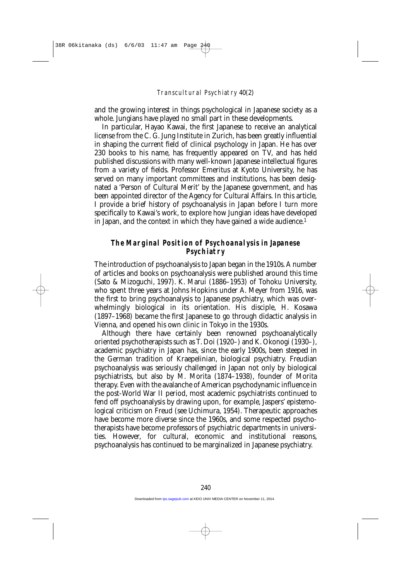and the growing interest in things psychological in Japanese society as a whole. Jungians have played no small part in these developments.

In particular, Hayao Kawai, the first Japanese to receive an analytical license from the C. G. Jung Institute in Zurich, has been greatly influential in shaping the current field of clinical psychology in Japan. He has over 230 books to his name, has frequently appeared on TV, and has held published discussions with many well-known Japanese intellectual figures from a variety of fields. Professor Emeritus at Kyoto University, he has served on many important committees and institutions, has been designated a 'Person of Cultural Merit' by the Japanese government, and has been appointed director of the Agency for Cultural Affairs. In this article, I provide a brief history of psychoanalysis in Japan before I turn more specifically to Kawai's work, to explore how Jungian ideas have developed in Japan, and the context in which they have gained a wide audience.<sup>1</sup>

#### **The Marginal Position of Psychoanalysis in Japanese Psychiatry**

The introduction of psychoanalysis to Japan began in the 1910s. A number of articles and books on psychoanalysis were published around this time (Sato & Mizoguchi, 1997). K. Marui (1886–1953) of Tohoku University, who spent three years at Johns Hopkins under A. Meyer from 1916, was the first to bring psychoanalysis to Japanese psychiatry, which was overwhelmingly biological in its orientation. His disciple, H. Kosawa (1897–1968) became the first Japanese to go through didactic analysis in Vienna, and opened his own clinic in Tokyo in the 1930s.

Although there have certainly been renowned psychoanalytically oriented psychotherapists such as T. Doi (1920–) and K. Okonogi (1930–), academic psychiatry in Japan has, since the early 1900s, been steeped in the German tradition of Kraepelinian, biological psychiatry. Freudian psychoanalysis was seriously challenged in Japan not only by biological psychiatrists, but also by M. Morita (1874–1938), founder of Morita therapy. Even with the avalanche of American psychodynamic influence in the post-World War II period, most academic psychiatrists continued to fend off psychoanalysis by drawing upon, for example, Jaspers' epistemological criticism on Freud (see Uchimura, 1954). Therapeutic approaches have become more diverse since the 1960s, and some respected psychotherapists have become professors of psychiatric departments in universities. However, for cultural, economic and institutional reasons, psychoanalysis has continued to be marginalized in Japanese psychiatry.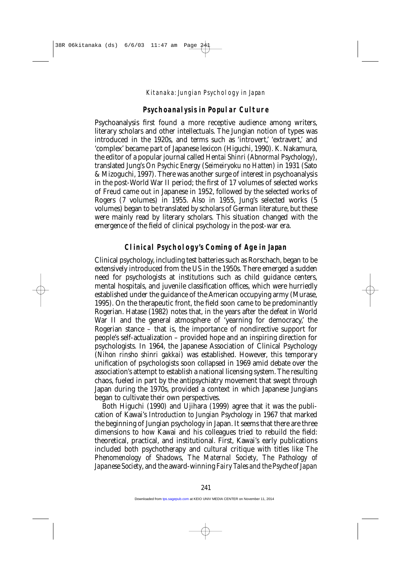# **Psychoanalysis in Popular Culture**

Psychoanalysis first found a more receptive audience among writers, literary scholars and other intellectuals. The Jungian notion of types was introduced in the 1920s, and terms such as 'introvert,' 'extravert,' and 'complex' became part of Japanese lexicon (Higuchi, 1990). K. Nakamura, the editor of a popular journal called *Hentai Shinri* (*Abnormal Psychology*), translated Jung's *On Psychic Energy* (*Seimeiryoku no Hatten*) in 1931 (Sato & Mizoguchi, 1997). There was another surge of interest in psychoanalysis in the post-World War II period; the first of 17 volumes of selected works of Freud came out in Japanese in 1952, followed by the selected works of Rogers (7 volumes) in 1955. Also in 1955, Jung's selected works (5 volumes) began to be translated by scholars of German literature, but these were mainly read by literary scholars. This situation changed with the emergence of the field of clinical psychology in the post-war era.

# **Clinical Psychology's Coming of Age in Japan**

Clinical psychology, including test batteries such as Rorschach, began to be extensively introduced from the US in the 1950s. There emerged a sudden need for psychologists at institutions such as child guidance centers, mental hospitals, and juvenile classification offices, which were hurriedly established under the guidance of the American occupying army (Murase, 1995). On the therapeutic front, the field soon came to be predominantly Rogerian. Hatase (1982) notes that, in the years after the defeat in World War II and the general atmosphere of 'yearning for democracy,' the Rogerian stance – that is, the importance of nondirective support for people's self-actualization – provided hope and an inspiring direction for psychologists. In 1964, the Japanese Association of Clinical Psychology (*Nihon rinsho shinri gakkai*) was established. However, this temporary unification of psychologists soon collapsed in 1969 amid debate over the association's attempt to establish a national licensing system. The resulting chaos, fueled in part by the antipsychiatry movement that swept through Japan during the 1970s, provided a context in which Japanese Jungians began to cultivate their own perspectives.

Both Higuchi (1990) and Ujihara (1999) agree that it was the publication of Kawai's *Introduction to Jungian Psychology* in 1967 that marked the beginning of Jungian psychology in Japan. It seems that there are three dimensions to how Kawai and his colleagues tried to rebuild the field: theoretical, practical, and institutional. First, Kawai's early publications included both psychotherapy and cultural critique with titles like *The Phenomenology of Shadows*, *The Maternal Society*, *The Pathology of Japanese Society*, and the award-winning *Fairy Tales and the Psyche of Japan*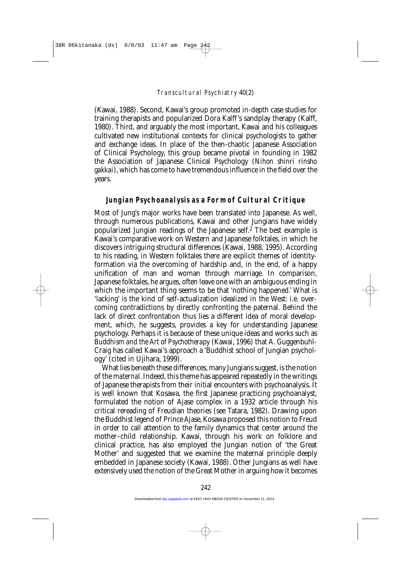(Kawai, 1988). Second, Kawai's group promoted in-depth case studies for training therapists and popularized Dora Kalff's sandplay therapy (Kalff, 1980). Third, and arguably the most important, Kawai and his colleagues cultivated new institutional contexts for clinical psychologists to gather and exchange ideas. In place of the then-chaotic Japanese Association of Clinical Psychology, this group became pivotal in founding in 1982 the Association of Japanese Clinical Psychology (*Nihon shinri rinsho gakkai*), which has come to have tremendous influence in the field over the years.

#### **Jungian Psychoanalysis as a Form of Cultural Critique**

Most of Jung's major works have been translated into Japanese. As well, through numerous publications, Kawai and other Jungians have widely popularized Jungian readings of the Japanese self.2 The best example is Kawai's comparative work on Western and Japanese folktales, in which he discovers intriguing structural differences (Kawai, 1988, 1995). According to his reading, in Western folktales there are explicit themes of identityformation via the overcoming of hardship and, in the end, of a happy unification of man and woman through marriage. In comparison, Japanese folktales, he argues, often leave one with an ambiguous ending in which the important thing seems to be that 'nothing happened.' What is 'lacking' is the kind of self-actualization idealized in the West: i.e. overcoming contradictions by directly confronting the paternal. Behind the lack of direct confrontation thus lies a different idea of moral development, which, he suggests, provides a key for understanding Japanese psychology. Perhaps it is because of these unique ideas and works such as *Buddhism and the Art of Psychotherapy* (Kawai, 1996) that A. Guggenbuhl-Craig has called Kawai's approach a 'Buddhist school of Jungian psychology' (cited in Ujihara, 1999).

What lies beneath these differences, many Jungians suggest, is the notion of the *maternal*. Indeed, this theme has appeared repeatedly in the writings of Japanese therapists from their initial encounters with psychoanalysis. It is well known that Kosawa, the first Japanese practicing psychoanalyst, formulated the notion of Ajase complex in a 1932 article through his critical rereading of Freudian theories (see Tatara, 1982). Drawing upon the Buddhist legend of Prince Ajase, Kosawa proposed this notion to Freud in order to call attention to the family dynamics that center around the mother–child relationship. Kawai, through his work on folklore and clinical practice, has also employed the Jungian notion of 'the Great Mother' and suggested that we examine the maternal principle deeply embedded in Japanese society (Kawai, 1988). Other Jungians as well have extensively used the notion of the Great Mother in arguing how it becomes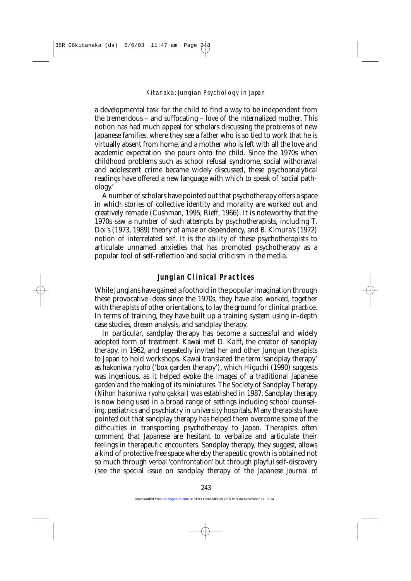a developmental task for the child to find a way to be independent from the tremendous – and suffocating – love of the internalized mother. This notion has had much appeal for scholars discussing the problems of new Japanese families, where they see a father who is so tied to work that he is virtually absent from home, and a mother who is left with all the love and academic expectation she pours onto the child. Since the 1970s when childhood problems such as school refusal syndrome, social withdrawal and adolescent crime became widely discussed, these psychoanalytical readings have offered a new language with which to speak of 'social pathology.'

A number of scholars have pointed out that psychotherapy offers a space in which stories of collective identity and morality are worked out and creatively remade (Cushman, 1995; Rieff, 1966). It is noteworthy that the 1970s saw a number of such attempts by psychotherapists, including T. Doi's (1973, 1989) theory of *amae* or dependency, and B. Kimura's (1972) notion of interrelated self. It is the ability of these psychotherapists to articulate unnamed anxieties that has promoted psychotherapy as a popular tool of self-reflection and social criticism in the media.

#### **Jungian Clinical Practices**

While Jungians have gained a foothold in the popular imagination through these provocative ideas since the 1970s, they have also worked, together with therapists of other orientations, to lay the ground for clinical practice. In terms of training, they have built up a training system using in-depth case studies, dream analysis, and sandplay therapy.

In particular, sandplay therapy has become a successful and widely adopted form of treatment. Kawai met D. Kalff, the creator of sandplay therapy, in 1962, and repeatedly invited her and other Jungian therapists to Japan to hold workshops. Kawai translated the term 'sandplay therapy' as *hakoniwa ryoho* ('box garden therapy'), which Higuchi (1990) suggests was ingenious, as it helped evoke the images of a traditional Japanese garden and the making of its miniatures. The Society of Sandplay Therapy (*Nihon hakoniwa ryoho gakkai*) was established in 1987. Sandplay therapy is now being used in a broad range of settings including school counseling, pediatrics and psychiatry in university hospitals. Many therapists have pointed out that sandplay therapy has helped them overcome some of the difficulties in transporting psychotherapy to Japan. Therapists often comment that Japanese are hesitant to verbalize and articulate their feelings in therapeutic encounters. Sandplay therapy, they suggest, allows a kind of protective free space whereby therapeutic growth is obtained not so much through verbal 'confrontation' but through playful self-discovery (see the special issue on sandplay therapy of the *Japanese Journal of*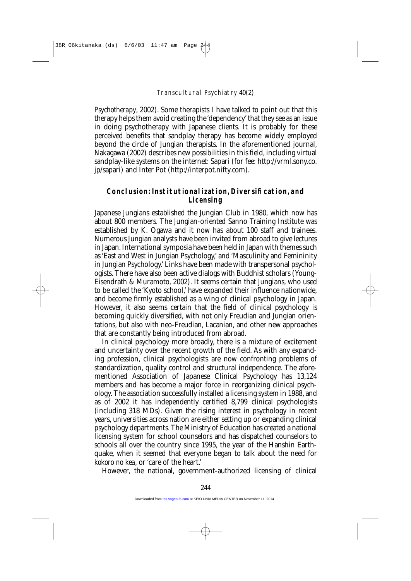*Psychotherapy*, 2002). Some therapists I have talked to point out that this therapy helps them avoid creating the 'dependency' that they see as an issue in doing psychotherapy with Japanese clients. It is probably for these perceived benefits that sandplay therapy has become widely employed beyond the circle of Jungian therapists. In the aforementioned journal, Nakagawa (2002) describes new possibilities in this field, including virtual sandplay-like systems on the internet: Sapari (for fee: http://vrml.sony.co. jp/sapari) and Inter Pot (http://interpot.nifty.com).

## **Conclusion: Institutionalization, Diversification, and Licensing**

Japanese Jungians established the Jungian Club in 1980, which now has about 800 members. The Jungian-oriented Sanno Training Institute was established by K. Ogawa and it now has about 100 staff and trainees. Numerous Jungian analysts have been invited from abroad to give lectures in Japan. International symposia have been held in Japan with themes such as 'East and West in Jungian Psychology,' and 'Masculinity and Femininity in Jungian Psychology.' Links have been made with transpersonal psychologists. There have also been active dialogs with Buddhist scholars (Young-Eisendrath & Muramoto, 2002). It seems certain that Jungians, who used to be called the 'Kyoto school,' have expanded their influence nationwide, and become firmly established as a wing of clinical psychology in Japan. However, it also seems certain that the field of clinical psychology is becoming quickly diversified, with not only Freudian and Jungian orientations, but also with neo-Freudian, Lacanian, and other new approaches that are constantly being introduced from abroad.

In clinical psychology more broadly, there is a mixture of excitement and uncertainty over the recent growth of the field. As with any expanding profession, clinical psychologists are now confronting problems of standardization, quality control and structural independence. The aforementioned Association of Japanese Clinical Psychology has 13,124 members and has become a major force in reorganizing clinical psychology. The association successfully installed a licensing system in 1988, and as of 2002 it has independently certified 8,799 clinical psychologists (including 318 MDs). Given the rising interest in psychology in recent years, universities across nation are either setting up or expanding clinical psychology departments. The Ministry of Education has created a national licensing system for school counselors and has dispatched counselors to schools all over the country since 1995, the year of the Hanshin Earthquake, when it seemed that everyone began to talk about the need for *kokoro no kea,* or 'care of the heart.'

However, the national, government-authorized licensing of clinical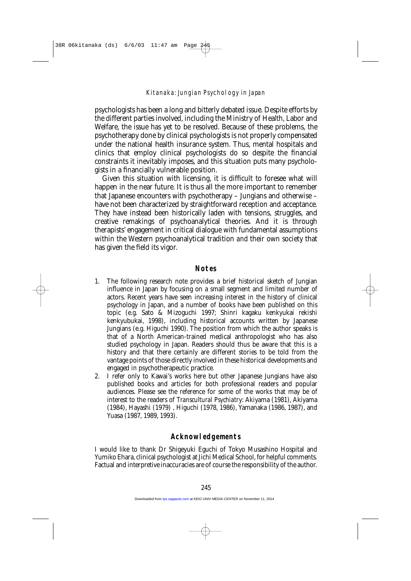psychologists has been a long and bitterly debated issue. Despite efforts by the different parties involved, including the Ministry of Health, Labor and Welfare, the issue has yet to be resolved. Because of these problems, the psychotherapy done by clinical psychologists is not properly compensated under the national health insurance system. Thus, mental hospitals and clinics that employ clinical psychologists do so despite the financial constraints it inevitably imposes, and this situation puts many psychologists in a financially vulnerable position.

Given this situation with licensing, it is difficult to foresee what will happen in the near future. It is thus all the more important to remember that Japanese encounters with psychotherapy – Jungians and otherwise – have not been characterized by straightforward reception and acceptance. They have instead been historically laden with tensions, struggles, and creative remakings of psychoanalytical theories. And it is through therapists' engagement in critical dialogue with fundamental assumptions within the Western psychoanalytical tradition *and* their own society that has given the field its vigor.

#### **Notes**

- 1. The following research note provides a brief historical sketch of Jungian influence in Japan by focusing on a small segment and limited number of actors. Recent years have seen increasing interest in the history of clinical psychology in Japan, and a number of books have been published on this topic (e.g. Sato & Mizoguchi 1997; Shinri kagaku kenkyukai rekishi kenkyubukai, 1998), including historical accounts written by Japanese Jungians (e.g. Higuchi 1990). The position from which the author speaks is that of a North American-trained medical anthropologist who has also studied psychology in Japan. Readers should thus be aware that this is *a* history and that there certainly are different stories to be told from the vantage points of those directly involved in these historical developments and engaged in psychotherapeutic practice.
- 2. I refer only to Kawai's works here but other Japanese Jungians have also published books and articles for both professional readers and popular audiences. Please see the reference for some of the works that may be of interest to the readers of *Transcultural Psychiatry*: Akiyama (1981), Akiyama (1984), Hayashi (1979) , Higuchi (1978, 1986), Yamanaka (1986, 1987), and Yuasa (1987, 1989, 1993).

#### **Acknowledgements**

I would like to thank Dr Shigeyuki Eguchi of Tokyo Musashino Hospital and Yumiko Ehara, clinical psychologist at Jichi Medical School, for helpful comments. Factual and interpretive inaccuracies are of course the responsibility of the author.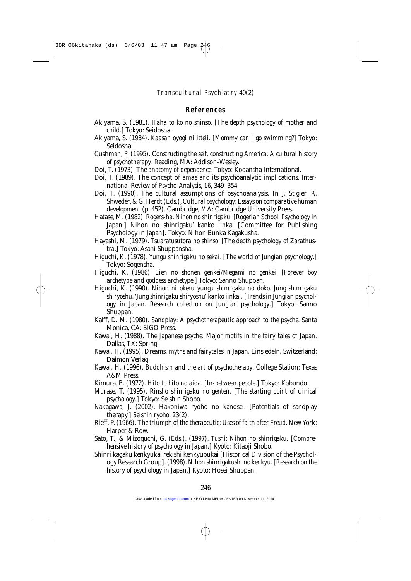#### **References**

- Akiyama, S. (1981). *Haha to ko no shinso.* [*The depth psychology of mother and child*.] Tokyo: Seidosha.
- Akiyama, S. (1984). *Kaasan oyogi ni itteii*. [*Mommy can I go swimming?*] Tokyo: Seidosha.
- Cushman, P. (1995). *Constructing the self, constructing America: A cultural history of psychotherapy*. Reading, MA: Addison-Wesley.
- Doi, T. (1973). *The anatomy of dependence*. Tokyo: Kodansha International.
- Doi, T. (1989). The concept of *amae* and its psychoanalytic implications. *International Review of Psycho-Analysis, 16*, 349–354.
- Doi, T. (1990). The cultural assumptions of psychoanalysis. In J. Stigler, R. Shweder, & G. Herdt (Eds.),*Cultural psychology: Essays on comparative human development* (p. 452). Cambridge, MA: Cambridge University Press.
- Hatase, M. (1982). *Rogers-ha. Nihon no shinrigaku.* [*Rogerian School. Psychology in Japan.*] Nihon no shinrigaku' kanko iinkai [Committee for Publishing Psychology in Japan]*.* Tokyo: Nihon Bunka Kagakusha.
- Hayashi, M. (1979). *Tsuaratusutora no shinso*. [*The depth psychology of Zarathustra*.] Tokyo: Asahi Shuppansha.
- Higuchi, K. (1978). *Yungu shinrigaku no sekai*. [*The world of Jungian psychology*.] Tokyo: Sogensha.
- Higuchi, K. (1986). *Eien no shonen genkei/Megami no genkei*. [*Forever boy archetype and goddess archetype*.] Tokyo: Sanno Shuppan.
- Higuchi, K. (1990). *Nihon ni okeru yungu shinrigaku no doko. Jung shinrigaku shiryoshu. 'Jung shinrigaku shiryoshu' kanko iinkai.* [*Trends in Jungian psychology in Japan. Research collection on Jungian psychology*.] Tokyo: Sanno Shuppan.
- Kalff, D. M. (1980). *Sandplay: A psychotherapeutic approach to the psyche*. Santa Monica, CA: SIGO Press.
- Kawai, H. (1988). *The Japanese psyche: Major motifs in the fairy tales of Japan*. Dallas, TX: Spring.
- Kawai, H. (1995). *Dreams, myths and fairytales in Japan*. Einsiedeln, Switzerland: Daimon Verlag.
- Kawai, H. (1996). *Buddhism and the art of psychotherapy*. College Station: Texas A&M Press.
- Kimura, B. (1972). *Hito to hito no aida.* [*In-between people*.] Tokyo: Kobundo.
- Murase, T. (1995). *Rinsho shinrigaku no genten.* [*The starting point of clinical psychology*.] Tokyo: Seishin Shobo.
- Nakagawa, J. (2002). Hakoniwa ryoho no kanosei. [Potentials of sandplay therapy.] *Seishin ryoho*, 23(2).
- Rieff, P. (1966). *The triumph of the therapeutic: Uses of faith after Freud*. New York: Harper & Row.
- Sato, T., & Mizoguchi, G. (Eds.). (1997). *Tushi: Nihon no shinrigaku.* [*Comprehensive history of psychology in Japan*.] Kyoto: Kitaoji Shobo.
- Shinri kagaku kenkyukai rekishi kenkyubukai [Historical Division of the Psychology Research Group]. (1998). *Nihon shinrigakushi no kenkyu*. [*Research on the history of psychology in Japan*.] Kyoto: Hosei Shuppan.